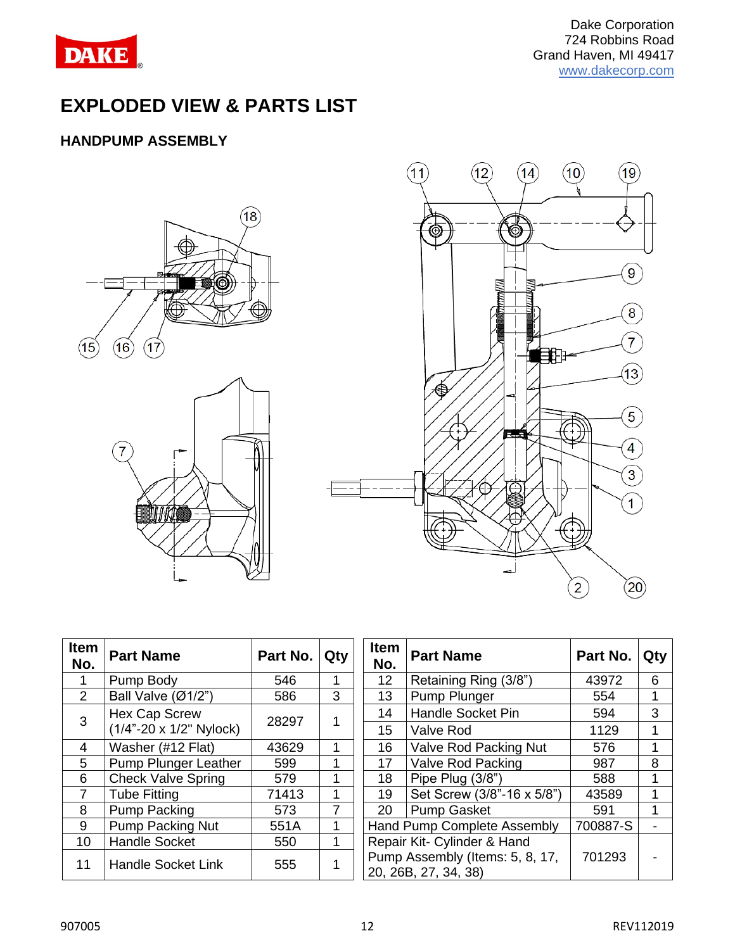

# **EXPLODED VIEW & PARTS LIST**

## **HANDPUMP ASSEMBLY**





| <b>Item</b><br>No. | <b>Part Name</b>                 | Part No. | Qty | Item<br>No.     | <b>Part Name</b>                                   |
|--------------------|----------------------------------|----------|-----|-----------------|----------------------------------------------------|
|                    | Pump Body                        | 546      | 1   | 12 <sup>2</sup> | Retaining Ring (3/8")                              |
| 2                  | Ball Valve (Ø1/2")               | 586      | 3   | 13              | Pump Plunger                                       |
| 3                  | <b>Hex Cap Screw</b>             | 28297    |     | 14              | <b>Handle Socket Pin</b>                           |
|                    | $(1/4" - 20 \times 1/2"$ Nylock) |          |     | 15              | Valve Rod                                          |
| 4                  | Washer (#12 Flat)                | 43629    | 1   | 16              | Valve Rod Packing N                                |
| 5                  | <b>Pump Plunger Leather</b>      | 599      | 1   | 17              | <b>Valve Rod Packing</b>                           |
| 6                  | <b>Check Valve Spring</b>        | 579      | 1   | 18              | Pipe Plug (3/8")                                   |
| $\overline{7}$     | <b>Tube Fitting</b>              | 71413    | 1   | 19              | Set Screw (3/8"-16 x                               |
| 8                  | <b>Pump Packing</b>              | 573      | 7   | 20              | <b>Pump Gasket</b>                                 |
| 9                  | <b>Pump Packing Nut</b>          | 551A     | 1   |                 | Hand Pump Complete Asser                           |
| 10                 | <b>Handle Socket</b>             | 550      | 1   |                 | Repair Kit- Cylinder & Hand                        |
| 11                 | <b>Handle Socket Link</b>        | 555      |     |                 | Pump Assembly (Items: 5, 8<br>20. 26B, 27, 34, 38) |

| em<br>lo.       | <b>Part Name</b>              | Part No. | Qty | <b>Item</b><br>No. | <b>Part Name</b>                                        |          | Qty |
|-----------------|-------------------------------|----------|-----|--------------------|---------------------------------------------------------|----------|-----|
| $\mathbf 1$     | Pump Body                     | 546      |     | 12 <sup>2</sup>    | Retaining Ring (3/8")                                   | 43972    | 6   |
| $\overline{2}$  | Ball Valve $(\emptyset 1/2")$ | 586      | 3   | 13                 | Pump Plunger                                            | 554      |     |
| 3               | <b>Hex Cap Screw</b>          | 28297    |     | 14                 | <b>Handle Socket Pin</b>                                | 594      | 3   |
|                 | (1/4"-20 x 1/2" Nylock)       |          |     | 15                 | Valve Rod                                               | 1129     |     |
| 4               | Washer (#12 Flat)             | 43629    |     | 16                 | Valve Rod Packing Nut                                   | 576      |     |
| $\frac{5}{2}$   | Pump Plunger Leather          | 599      |     | 17                 | Valve Rod Packing                                       | 987      | 8   |
| 6               | <b>Check Valve Spring</b>     | 579      |     | 18                 | Pipe Plug (3/8")                                        | 588      |     |
| $\overline{7}$  | <b>Tube Fitting</b>           | 71413    | 1   | 19                 | Set Screw (3/8"-16 x 5/8")                              | 43589    |     |
| $\overline{8}$  | <b>Pump Packing</b>           | 573      | 7   | 20                 | <b>Pump Gasket</b>                                      | 591      |     |
| $\overline{9}$  | Pump Packing Nut              | 551A     |     |                    | Hand Pump Complete Assembly                             | 700887-S |     |
| 10              | <b>Handle Socket</b>          | 550      |     |                    | Repair Kit- Cylinder & Hand                             |          |     |
| $\overline{11}$ | <b>Handle Socket Link</b>     | 555      |     |                    | Pump Assembly (Items: 5, 8, 17,<br>20, 26B, 27, 34, 38) | 701293   |     |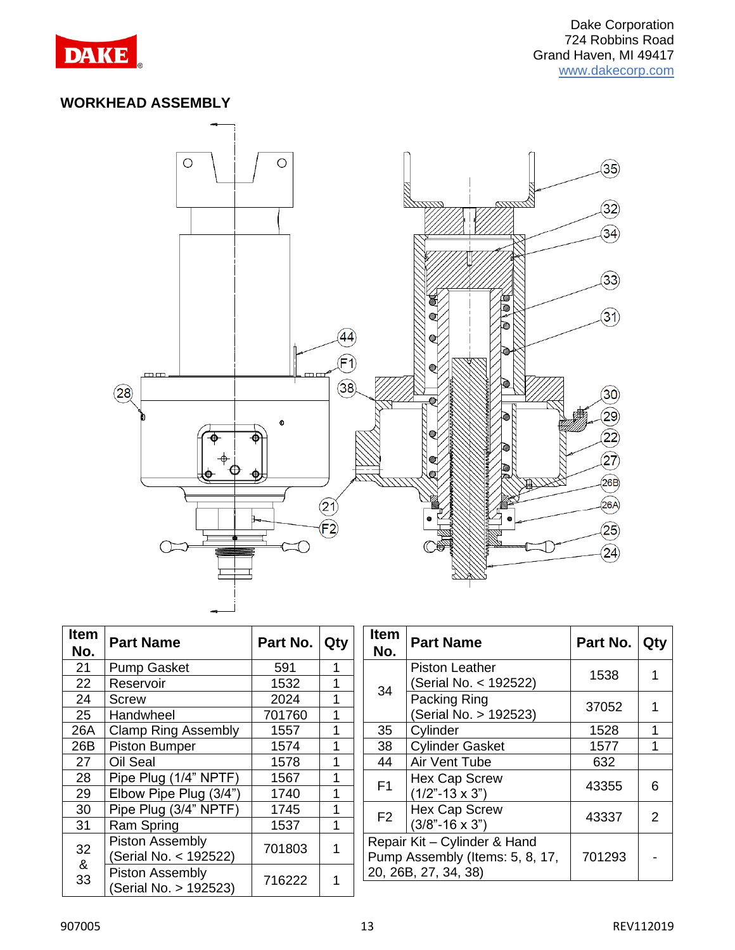

#### **WORKHEAD ASSEMBLY**



| Item<br>No. | <b>Part Name</b>                         | Part No. | Qty | <b>Item</b><br>No.   | <b>Part Name</b>                                                | Part N |  |
|-------------|------------------------------------------|----------|-----|----------------------|-----------------------------------------------------------------|--------|--|
| 21          | <b>Pump Gasket</b>                       | 591      | 1   |                      | <b>Piston Leather</b>                                           | 1538   |  |
| 22          | Reservoir                                | 1532     |     | 34                   | (Serial No. < 192522)                                           |        |  |
| 24          | Screw                                    | 2024     |     |                      | Packing Ring                                                    |        |  |
| 25          | Handwheel                                | 701760   | 1   |                      | (Serial No. > 192523)                                           | 3705   |  |
| 26A         | <b>Clamp Ring Assembly</b>               | 1557     | 1   | 35                   | Cylinder                                                        | 1528   |  |
| 26B         | <b>Piston Bumper</b>                     | 1574     | 1   | 38                   | <b>Cylinder Gasket</b>                                          | 1577   |  |
| 27          | Oil Seal                                 | 1578     |     | 44                   | Air Vent Tube                                                   | 632    |  |
| 28          | Pipe Plug (1/4" NPTF)                    | 1567     | 1   | F <sub>1</sub>       | Hex Cap Screw                                                   | 4335   |  |
| 29          | Elbow Pipe Plug (3/4")                   | 1740     | 1   |                      | $(1/2" - 13 \times 3")$                                         |        |  |
| 30          | Pipe Plug (3/4" NPTF)                    | 1745     | 1   | F <sub>2</sub>       | Hex Cap Screw                                                   | 4333   |  |
| 31          | Ram Spring                               | 1537     | 1   |                      | $(3/8" - 16 \times 3")$                                         |        |  |
| 32          | Piston Assembly<br>(Serial No. < 192522) | 701803   | 1   |                      | Repair Kit - Cylinder & Hand<br>Pump Assembly (Items: 5, 8, 17, | 70129  |  |
| &<br>33     | Piston Assembly<br>(Serial No. > 192523) | 716222   | 1   | 20, 26B, 27, 34, 38) |                                                                 |        |  |

| tem<br>No. | <b>Part Name</b>                         | Part No. | Qty | <b>Item</b><br>No. | <b>Part Name</b>                                                | Part No. | Qty |
|------------|------------------------------------------|----------|-----|--------------------|-----------------------------------------------------------------|----------|-----|
| 21         | <b>Pump Gasket</b>                       | 591      |     |                    | <b>Piston Leather</b>                                           | 1538     |     |
| 22         | Reservoir                                | 1532     |     | 34                 | (Serial No. < 192522)                                           |          |     |
| 24         | Screw                                    | 2024     |     |                    | Packing Ring                                                    | 37052    |     |
| 25         | Handwheel                                | 701760   |     |                    | (Serial No. > 192523)                                           |          |     |
| 26A        | <b>Clamp Ring Assembly</b>               | 1557     |     | 35                 | Cylinder                                                        | 1528     | 1   |
| 26B        | <b>Piston Bumper</b>                     | 1574     |     | 38                 | <b>Cylinder Gasket</b>                                          | 1577     |     |
| 27         | Oil Seal                                 | 1578     |     | 44                 | Air Vent Tube                                                   | 632      |     |
| 28         | Pipe Plug (1/4" NPTF)                    | 1567     |     | F1                 | Hex Cap Screw                                                   | 43355    | 6   |
| 29         | Elbow Pipe Plug (3/4")                   | 1740     |     |                    | $(1/2" - 13 \times 3")$                                         |          |     |
| 30         | Pipe Plug (3/4" NPTF)                    | 1745     |     | F <sub>2</sub>     | <b>Hex Cap Screw</b>                                            | 43337    | 2   |
| 31         | Ram Spring                               | 1537     | 1   |                    | $(3/8" - 16 \times 3")$                                         |          |     |
| 32<br>&    | Piston Assembly<br>(Serial No. < 192522) | 701803   | 1   |                    | Repair Kit - Cylinder & Hand<br>Pump Assembly (Items: 5, 8, 17, |          |     |
| 33         | Piston Assembly                          | 716000   |     |                    | 20, 26B, 27, 34, 38)                                            |          |     |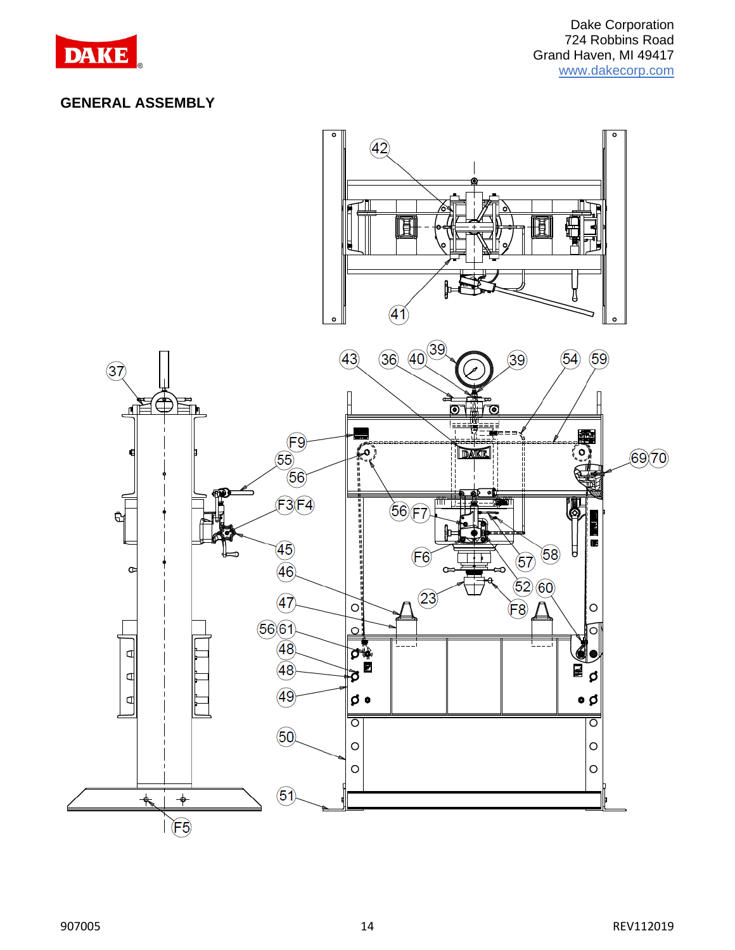

#### **GENERAL ASSEMBLY**

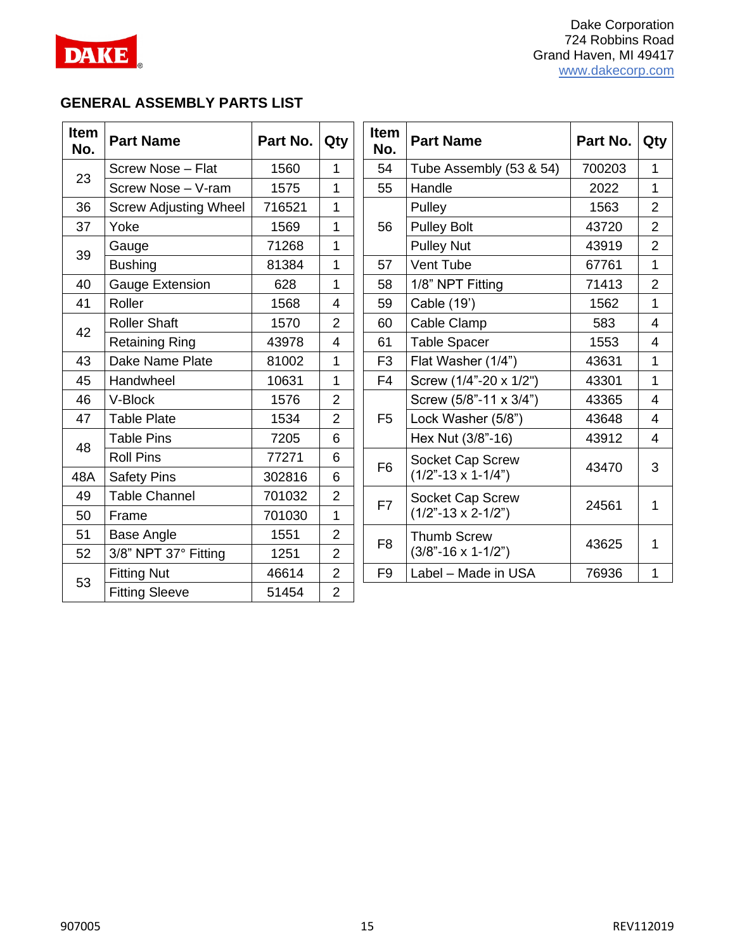

## **GENERAL ASSEMBLY PARTS LIST**

| <b>Item</b><br>No. | <b>Part Name</b>             | Part No. | Qty            | Item<br>No.    | <b>Part Name</b>              | Part No. | Qty            |
|--------------------|------------------------------|----------|----------------|----------------|-------------------------------|----------|----------------|
| 23                 | Screw Nose - Flat            | 1560     | $\mathbf{1}$   | 54             | Tube Assembly (53 & 54)       | 700203   | $\mathbf{1}$   |
|                    | Screw Nose - V-ram           | 1575     | 1              | 55             | Handle                        | 2022     | $\mathbf{1}$   |
| 36                 | <b>Screw Adjusting Wheel</b> | 716521   | 1              |                | Pulley                        | 1563     | $\overline{2}$ |
| 37                 | Yoke                         | 1569     | 1              | 56             | <b>Pulley Bolt</b>            | 43720    | $\overline{2}$ |
| 39                 | Gauge                        | 71268    | 1              |                | <b>Pulley Nut</b>             | 43919    | $\overline{2}$ |
|                    | <b>Bushing</b>               | 81384    | 1              | 57             | Vent Tube                     | 67761    | $\mathbf{1}$   |
| 40                 | <b>Gauge Extension</b>       | 628      | 1              | 58             | 1/8" NPT Fitting              | 71413    | $\overline{2}$ |
| 41                 | Roller                       | 1568     | 4              | 59             | Cable (19')                   | 1562     | 1              |
|                    | <b>Roller Shaft</b>          | 1570     | $\overline{2}$ | 60             | Cable Clamp                   | 583      | $\overline{4}$ |
| 42                 | <b>Retaining Ring</b>        | 43978    | 4              | 61             | <b>Table Spacer</b>           | 1553     | $\overline{4}$ |
| 43                 | Dake Name Plate              | 81002    | 1              | F <sub>3</sub> | Flat Washer (1/4")            | 43631    | $\mathbf{1}$   |
| 45                 | Handwheel                    | 10631    | 1              | F <sub>4</sub> | Screw (1/4"-20 x 1/2")        | 43301    | $\mathbf{1}$   |
| 46                 | V-Block                      | 1576     | $\overline{2}$ |                | Screw (5/8"-11 x 3/4")        | 43365    | 4              |
| 47                 | <b>Table Plate</b>           | 1534     | $\overline{2}$ | F <sub>5</sub> | Lock Washer (5/8")            | 43648    | 4              |
| 48                 | <b>Table Pins</b>            | 7205     | 6              |                | Hex Nut (3/8"-16)             | 43912    | $\overline{4}$ |
|                    | <b>Roll Pins</b>             | 77271    | 6              | F <sub>6</sub> | Socket Cap Screw              | 43470    | 3              |
| 48A                | <b>Safety Pins</b>           | 302816   | 6              |                | $(1/2" - 13 \times 1 - 1/4")$ |          |                |
| 49                 | <b>Table Channel</b>         | 701032   | $\overline{2}$ | F7             | Socket Cap Screw              |          |                |
| 50                 | Frame                        | 701030   | 1              |                | $(1/2" - 13 \times 2 - 1/2")$ | 24561    | 1              |
| 51                 | <b>Base Angle</b>            | 1551     | $\overline{2}$ | F <sub>8</sub> | <b>Thumb Screw</b>            |          |                |
| 52                 | 3/8" NPT 37° Fitting         | 1251     | $\overline{2}$ |                | $(3/8" - 16 \times 1 - 1/2")$ | 43625    | 1              |
|                    | <b>Fitting Nut</b>           | 46614    | $\overline{2}$ | F <sub>9</sub> | Label - Made in USA           | 76936    | $\mathbf{1}$   |
| 53                 | <b>Fitting Sleeve</b>        | 51454    | $\overline{2}$ |                |                               |          |                |